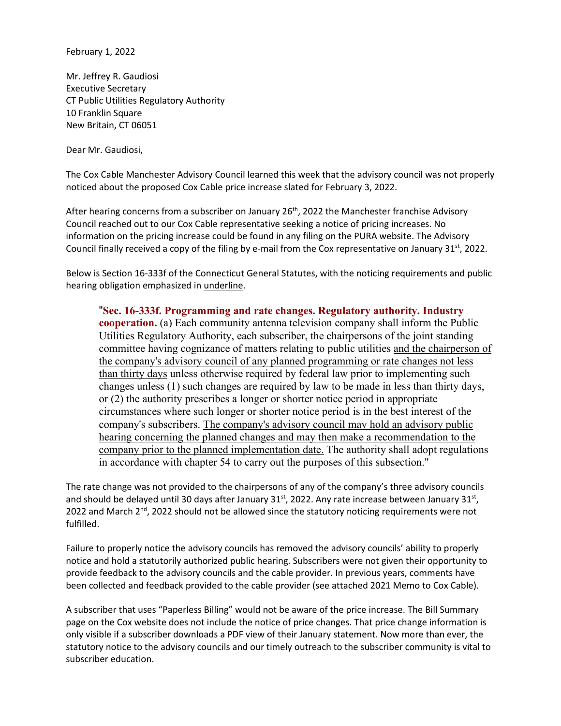February 1, 2022

Mr. Jeffrey R. Gaudiosi Executive Secretary CT Public Utilities Regulatory Authority 10 Franklin Square New Britain, CT 06051

Dear Mr. Gaudiosi,

The Cox Cable Manchester Advisory Council learned this week that the advisory council was not properly noticed about the proposed Cox Cable price increase slated for February 3, 2022.

After hearing concerns from a subscriber on January  $26<sup>th</sup>$ , 2022 the Manchester franchise Advisory Council reached out to our Cox Cable representative seeking a notice of pricing increases. No information on the pricing increase could be found in any filing on the PURA website. The Advisory Council finally received a copy of the filing by e-mail from the Cox representative on January  $31<sup>st</sup>$ , 2022.

Below is Section 16-333f of the Connecticut General Statutes, with the noticing requirements and public hearing obligation emphasized in underline.

"**Sec. 16-333f. Programming and rate changes. Regulatory authority. Industry cooperation.** (a) Each community antenna television company shall inform the Public Utilities Regulatory Authority, each subscriber, the chairpersons of the joint standing committee having cognizance of matters relating to public utilities and the chairperson of the company's advisory council of any planned programming or rate changes not less than thirty days unless otherwise required by federal law prior to implementing such changes unless (1) such changes are required by law to be made in less than thirty days, or (2) the authority prescribes a longer or shorter notice period in appropriate circumstances where such longer or shorter notice period is in the best interest of the company's subscribers. The company's advisory council may hold an advisory public hearing concerning the planned changes and may then make a recommendation to the company prior to the planned implementation date. The authority shall adopt regulations in accordance with chapter 54 to carry out the purposes of this subsection."

The rate change was not provided to the chairpersons of any of the company's three advisory councils and should be delayed until 30 days after January  $31^{st}$ , 2022. Any rate increase between January  $31^{st}$ , 2022 and March 2<sup>nd</sup>, 2022 should not be allowed since the statutory noticing requirements were not fulfilled.

Failure to properly notice the advisory councils has removed the advisory councils' ability to properly notice and hold a statutorily authorized public hearing. Subscribers were not given their opportunity to provide feedback to the advisory councils and the cable provider. In previous years, comments have been collected and feedback provided to the cable provider (see attached 2021 Memo to Cox Cable).

A subscriber that uses "Paperless Billing" would not be aware of the price increase. The Bill Summary page on the Cox website does not include the notice of price changes. That price change information is only visible if a subscriber downloads a PDF view of their January statement. Now more than ever, the statutory notice to the advisory councils and our timely outreach to the subscriber community is vital to subscriber education.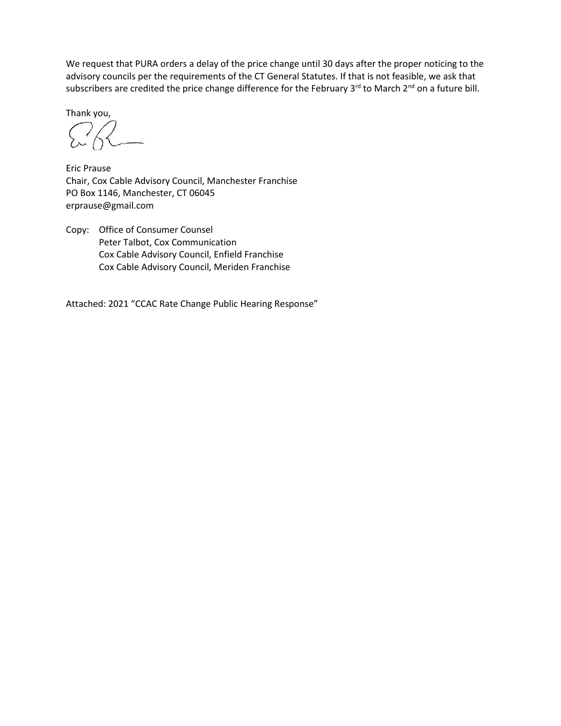We request that PURA orders a delay of the price change until 30 days after the proper noticing to the advisory councils per the requirements of the CT General Statutes. If that is not feasible, we ask that subscribers are credited the price change difference for the February 3<sup>rd</sup> to March 2<sup>nd</sup> on a future bill.

Thank you,

Eric Prause Chair, Cox Cable Advisory Council, Manchester Franchise PO Box 1146, Manchester, CT 06045 erprause@gmail.com

Copy: Office of Consumer Counsel Peter Talbot, Cox Communication Cox Cable Advisory Council, Enfield Franchise Cox Cable Advisory Council, Meriden Franchise

Attached: 2021 "CCAC Rate Change Public Hearing Response"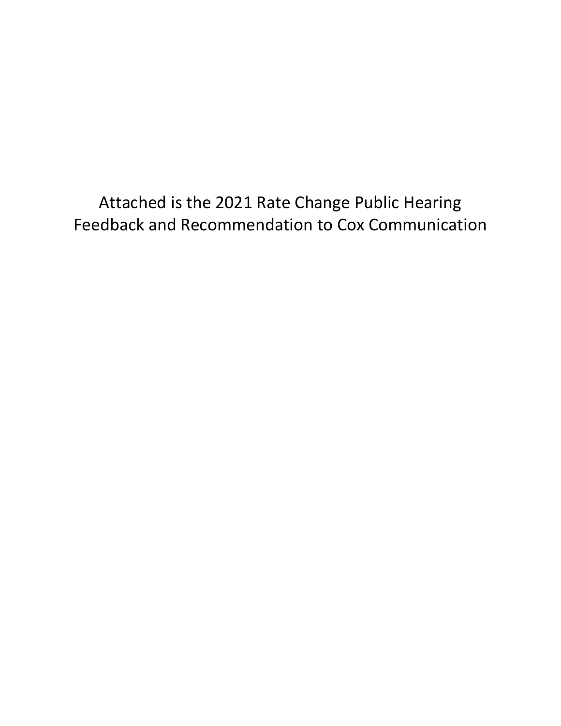Attached is the 2021 Rate Change Public Hearing Feedback and Recommendation to Cox Communication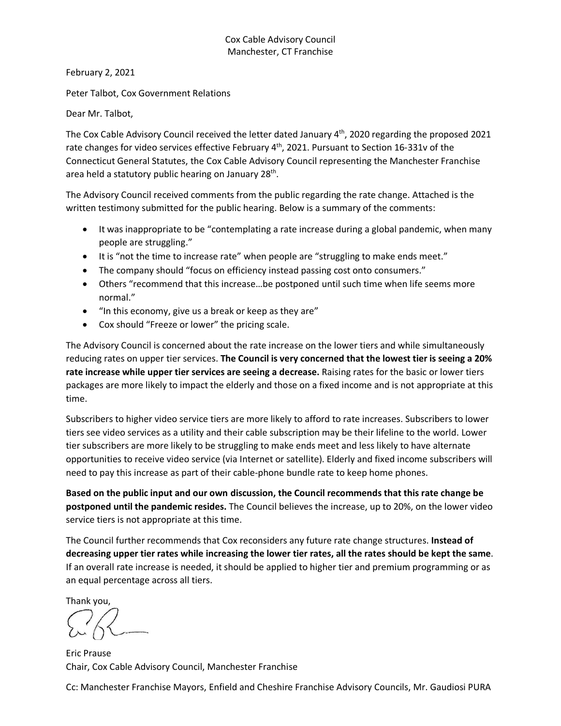#### Cox Cable Advisory Council Manchester, CT Franchise

February 2, 2021

Peter Talbot, Cox Government Relations

Dear Mr. Talbot,

The Cox Cable Advisory Council received the letter dated January 4<sup>th</sup>, 2020 regarding the proposed 2021 rate changes for video services effective February 4<sup>th</sup>, 2021. Pursuant to Section 16-331v of the Connecticut General Statutes, the Cox Cable Advisory Council representing the Manchester Franchise area held a statutory public hearing on January 28<sup>th</sup>.

The Advisory Council received comments from the public regarding the rate change. Attached is the written testimony submitted for the public hearing. Below is a summary of the comments:

- It was inappropriate to be "contemplating a rate increase during a global pandemic, when many people are struggling."
- It is "not the time to increase rate" when people are "struggling to make ends meet."
- The company should "focus on efficiency instead passing cost onto consumers."
- Others "recommend that this increase…be postponed until such time when life seems more normal."
- "In this economy, give us a break or keep as they are"
- Cox should "Freeze or lower" the pricing scale.

The Advisory Council is concerned about the rate increase on the lower tiers and while simultaneously reducing rates on upper tier services. **The Council is very concerned that the lowest tier is seeing a 20% rate increase while upper tier services are seeing a decrease.** Raising rates for the basic or lower tiers packages are more likely to impact the elderly and those on a fixed income and is not appropriate at this time.

Subscribers to higher video service tiers are more likely to afford to rate increases. Subscribers to lower tiers see video services as a utility and their cable subscription may be their lifeline to the world. Lower tier subscribers are more likely to be struggling to make ends meet and less likely to have alternate opportunities to receive video service (via Internet or satellite). Elderly and fixed income subscribers will need to pay this increase as part of their cable-phone bundle rate to keep home phones.

**Based on the public input and our own discussion, the Council recommends that this rate change be postponed until the pandemic resides.** The Council believes the increase, up to 20%, on the lower video service tiers is not appropriate at this time.

The Council further recommends that Cox reconsiders any future rate change structures. **Instead of decreasing upper tier rates while increasing the lower tier rates, all the rates should be kept the same**. If an overall rate increase is needed, it should be applied to higher tier and premium programming or as an equal percentage across all tiers.

Thank you,

Eric Prause Chair, Cox Cable Advisory Council, Manchester Franchise

Cc: Manchester Franchise Mayors, Enfield and Cheshire Franchise Advisory Councils, Mr. Gaudiosi PURA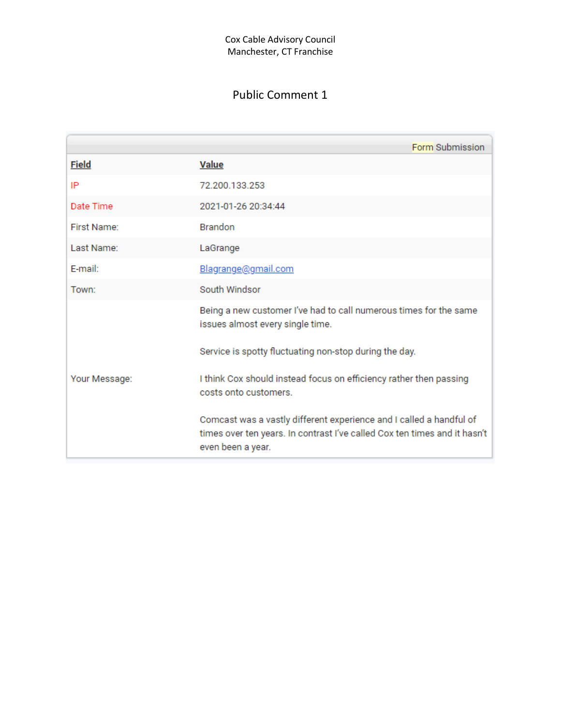|               | Form Submission                                                                                                                                                       |  |  |  |
|---------------|-----------------------------------------------------------------------------------------------------------------------------------------------------------------------|--|--|--|
| <b>Field</b>  | <b>Value</b>                                                                                                                                                          |  |  |  |
| IP            | 72.200.133.253                                                                                                                                                        |  |  |  |
| Date Time     | 2021-01-26 20:34:44                                                                                                                                                   |  |  |  |
| First Name:   | <b>Brandon</b>                                                                                                                                                        |  |  |  |
| Last Name:    | LaGrange                                                                                                                                                              |  |  |  |
| E-mail:       | Blagrange@gmail.com                                                                                                                                                   |  |  |  |
| Town:         | South Windsor                                                                                                                                                         |  |  |  |
| Your Message: | Being a new customer I've had to call numerous times for the same<br>issues almost every single time.                                                                 |  |  |  |
|               | Service is spotty fluctuating non-stop during the day.                                                                                                                |  |  |  |
|               | I think Cox should instead focus on efficiency rather then passing<br>costs onto customers.                                                                           |  |  |  |
|               | Comcast was a vastly different experience and I called a handful of<br>times over ten years. In contrast I've called Cox ten times and it hasn't<br>even been a year. |  |  |  |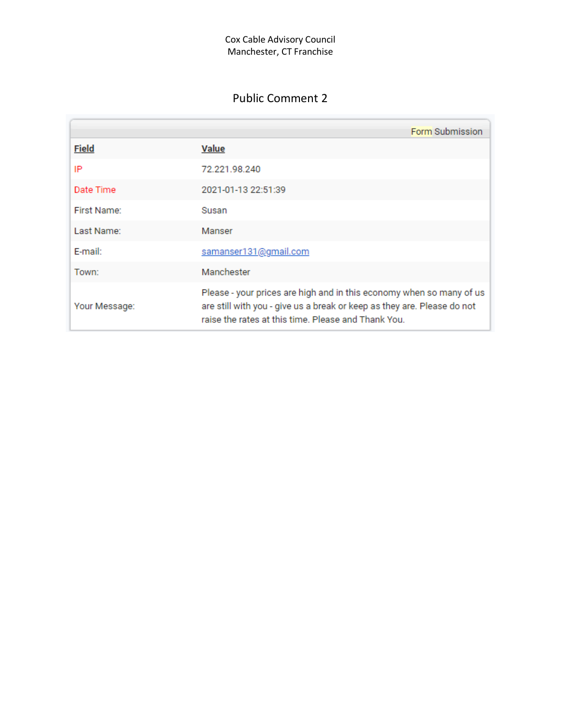|               | Form Submission                                                                                                                                                                                        |
|---------------|--------------------------------------------------------------------------------------------------------------------------------------------------------------------------------------------------------|
| <b>Field</b>  | <b>Value</b>                                                                                                                                                                                           |
| IP            | 72.221.98.240                                                                                                                                                                                          |
| Date Time     | 2021-01-13 22:51:39                                                                                                                                                                                    |
| First Name:   | Susan                                                                                                                                                                                                  |
| Last Name:    | Manser                                                                                                                                                                                                 |
| E-mail:       | samanser131@gmail.com                                                                                                                                                                                  |
| Town:         | Manchester                                                                                                                                                                                             |
| Your Message: | Please - your prices are high and in this economy when so many of us<br>are still with you - give us a break or keep as they are. Please do not<br>raise the rates at this time. Please and Thank You. |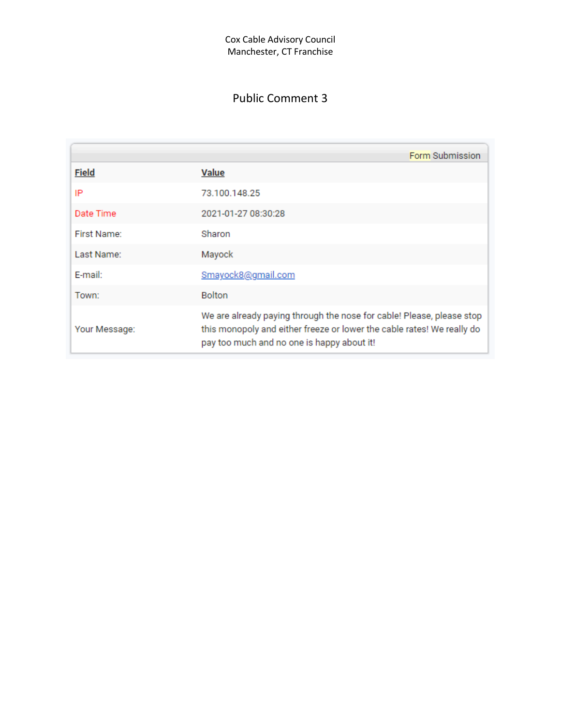|               | Form Submission                                                                                                                                                                               |
|---------------|-----------------------------------------------------------------------------------------------------------------------------------------------------------------------------------------------|
| <b>Field</b>  | <b>Value</b>                                                                                                                                                                                  |
| IP            | 73.100.148.25                                                                                                                                                                                 |
| Date Time     | 2021-01-27 08:30:28                                                                                                                                                                           |
| First Name:   | Sharon                                                                                                                                                                                        |
| Last Name:    | Mayock                                                                                                                                                                                        |
| F-mail:       | Smayock8@gmail.com                                                                                                                                                                            |
| Town:         | <b>Bolton</b>                                                                                                                                                                                 |
| Your Message: | We are already paying through the nose for cable! Please, please stop<br>this monopoly and either freeze or lower the cable rates! We really do<br>pay too much and no one is happy about it! |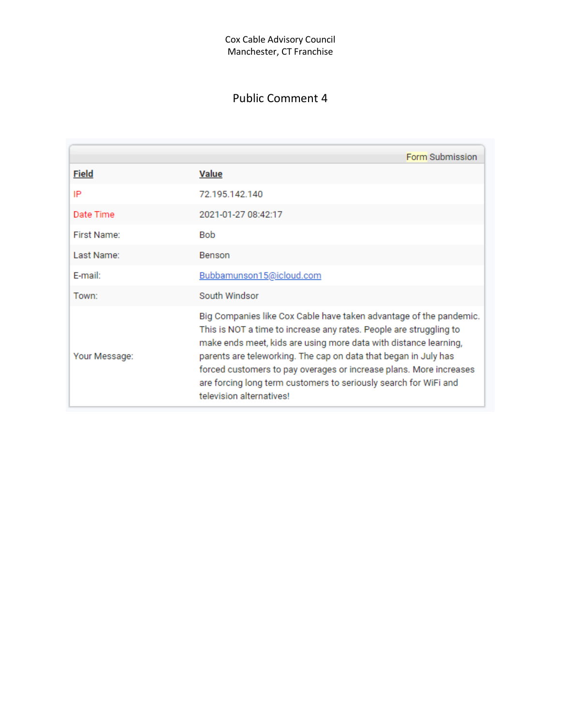|               | Form Submission                                                                                                                                                                                                                                                                                                                                                                                                                                       |
|---------------|-------------------------------------------------------------------------------------------------------------------------------------------------------------------------------------------------------------------------------------------------------------------------------------------------------------------------------------------------------------------------------------------------------------------------------------------------------|
| <b>Field</b>  | <b>Value</b>                                                                                                                                                                                                                                                                                                                                                                                                                                          |
| IP            | 72.195.142.140                                                                                                                                                                                                                                                                                                                                                                                                                                        |
| Date Time     | 2021-01-27 08:42:17                                                                                                                                                                                                                                                                                                                                                                                                                                   |
| First Name:   | <b>Bob</b>                                                                                                                                                                                                                                                                                                                                                                                                                                            |
| Last Name:    | Benson                                                                                                                                                                                                                                                                                                                                                                                                                                                |
| F-mail:       | Bubbamunson15@icloud.com                                                                                                                                                                                                                                                                                                                                                                                                                              |
| Town:         | South Windsor                                                                                                                                                                                                                                                                                                                                                                                                                                         |
| Your Message: | Big Companies like Cox Cable have taken advantage of the pandemic.<br>This is NOT a time to increase any rates. People are struggling to<br>make ends meet, kids are using more data with distance learning,<br>parents are teleworking. The cap on data that began in July has<br>forced customers to pay overages or increase plans. More increases<br>are forcing long term customers to seriously search for WiFi and<br>television alternatives! |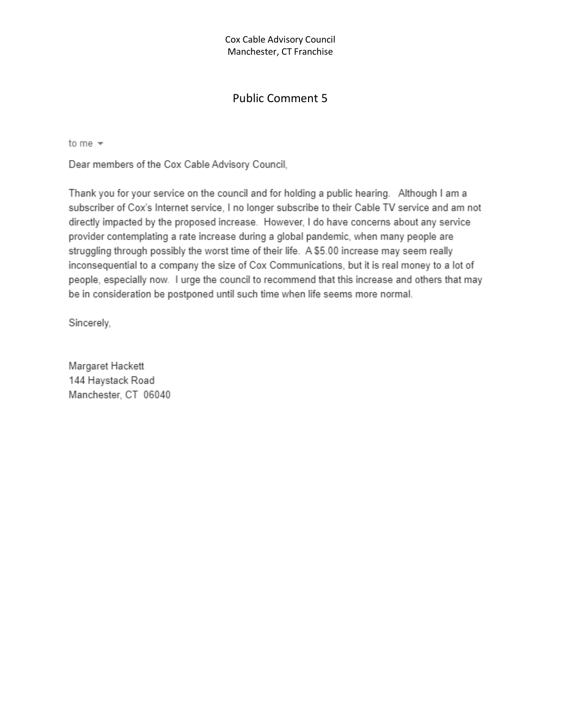#### Cox Cable Advisory Council Manchester, CT Franchise

### Public Comment 5

to me  $\sqrt{}$ 

Dear members of the Cox Cable Advisory Council,

Thank you for your service on the council and for holding a public hearing. Although I am a subscriber of Cox's Internet service, I no longer subscribe to their Cable TV service and am not directly impacted by the proposed increase. However, I do have concerns about any service provider contemplating a rate increase during a global pandemic, when many people are struggling through possibly the worst time of their life. A \$5.00 increase may seem really inconsequential to a company the size of Cox Communications, but it is real money to a lot of people, especially now. I urge the council to recommend that this increase and others that may be in consideration be postponed until such time when life seems more normal.

Sincerely,

Margaret Hackett 144 Haystack Road Manchester, CT 06040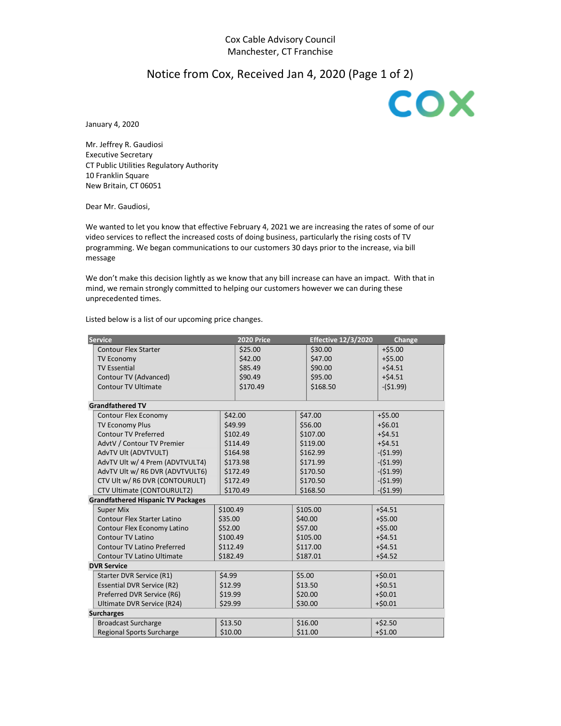### Notice from Cox, Received Jan 4, 2020 (Page 1 of 2)

COX

January 4, 2020

Mr. Jeffrey R. Gaudiosi Executive Secretary CT Public Utilities Regulatory Authority 10 Franklin Square New Britain, CT 06051

Dear Mr. Gaudiosi,

We wanted to let you know that effective February 4, 2021 we are increasing the rates of some of our video services to reflect the increased costs of doing business, particularly the rising costs of TV programming. We began communications to our customers 30 days prior to the increase, via bill message

We don't make this decision lightly as we know that any bill increase can have an impact. With that in mind, we remain strongly committed to helping our customers however we can during these unprecedented times.

Listed below is a list of our upcoming price changes.

| <b>Service</b>                            |          | <b>2020 Price</b>    |          | <b>Effective 12/3/2020</b> | Change     |  |
|-------------------------------------------|----------|----------------------|----------|----------------------------|------------|--|
| <b>Contour Flex Starter</b>               |          | \$25.00              |          | \$30.00                    | $+55.00$   |  |
| <b>TV Economy</b>                         |          | \$42.00              |          | \$47.00                    | $+ $5.00$  |  |
| <b>TV Essential</b>                       |          | \$85.49              |          | \$90.00                    | $+ $4.51$  |  |
| Contour TV (Advanced)                     |          | \$90.49              |          | \$95.00                    | $+54.51$   |  |
| Contour TV Ultimate                       |          | \$170.49             |          | \$168.50                   | $-($1.99)$ |  |
|                                           |          |                      |          |                            |            |  |
| <b>Grandfathered TV</b>                   |          |                      |          |                            |            |  |
| Contour Flex Economy                      |          | \$42.00              |          | \$47.00                    | $+ $5.00$  |  |
| <b>TV Economy Plus</b>                    |          | \$49.99              |          | \$56.00                    | $+56.01$   |  |
| <b>Contour TV Preferred</b>               |          | \$102.49             |          | \$107.00                   | $+ $4.51$  |  |
| AdvtV / Contour TV Premier                |          | \$114.49             |          | \$119.00                   | $+ $4.51$  |  |
| AdvTV Ult (ADVTVULT)                      |          | \$164.98             |          | \$162.99                   | $-(51.99)$ |  |
| AdvTV Ult w/ 4 Prem (ADVTVULT4)           |          | \$173.98             |          | \$171.99                   | $-(51.99)$ |  |
| AdvTV Ult w/ R6 DVR (ADVTVULT6)           |          | \$172.49             | \$170.50 |                            | $-($1.99)$ |  |
| CTV Ult w/ R6 DVR (CONTOURULT)            |          | \$172.49             | \$170.50 |                            | $-($1.99)$ |  |
| CTV Ultimate (CONTOURULT2)                |          | \$170.49<br>\$168.50 |          |                            | $-(51.99)$ |  |
| <b>Grandfathered Hispanic TV Packages</b> |          |                      |          |                            |            |  |
| <b>Super Mix</b>                          | \$100.49 |                      | \$105.00 |                            | $+54.51$   |  |
| <b>Contour Flex Starter Latino</b>        | \$35.00  |                      |          | \$40.00                    | $+55.00$   |  |
| Contour Flex Economy Latino               | \$52.00  |                      | \$57.00  |                            | $+ $5.00$  |  |
| Contour TV Latino                         | \$100.49 |                      | \$105.00 |                            | $+54.51$   |  |
| <b>Contour TV Latino Preferred</b>        | \$112.49 |                      |          | \$117.00                   | $+54.51$   |  |
| <b>Contour TV Latino Ultimate</b>         | \$182.49 | \$187.01             |          |                            | $+ $4.52$  |  |
| <b>DVR Service</b>                        |          |                      |          |                            |            |  |
| Starter DVR Service (R1)                  | \$4.99   |                      |          | \$5.00                     | $+50.01$   |  |
| <b>Essential DVR Service (R2)</b>         | \$12.99  |                      |          | \$13.50                    | $+ $0.51$  |  |
| Preferred DVR Service (R6)                | \$19.99  |                      |          | \$20.00                    | $+50.01$   |  |
| Ultimate DVR Service (R24)<br>\$29.99     |          |                      |          | \$30.00                    | $+50.01$   |  |
| <b>Surcharges</b>                         |          |                      |          |                            |            |  |
| <b>Broadcast Surcharge</b>                | \$13.50  |                      |          | \$16.00                    | $+ $2.50$  |  |
| <b>Regional Sports Surcharge</b>          | \$10.00  |                      | \$11.00  |                            | $+ $1.00$  |  |